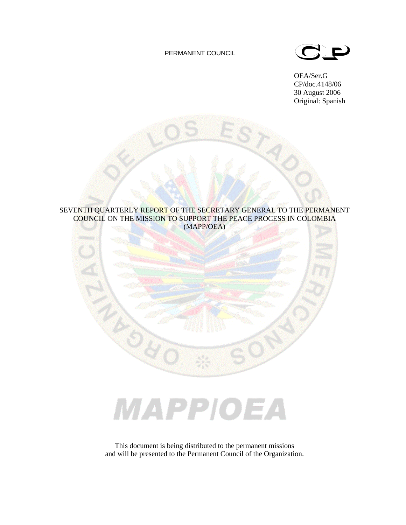# PERMANENT COUNCIL



OEA/Ser.G CP/doc.4148/06 30 August 2006 Original: Spanish



# MAPPIOEA

This document is being distributed to the permanent missions and will be presented to the Permanent Council of the Organization.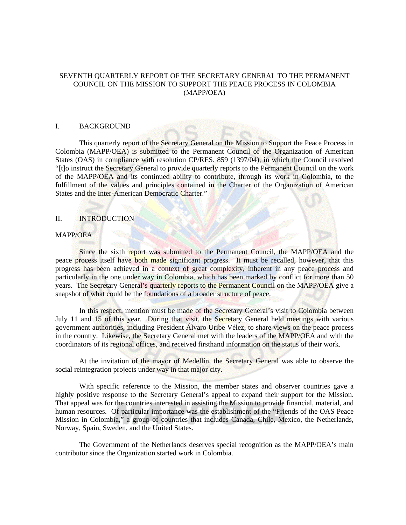# SEVENTH QUARTERLY REPORT OF THE SECRETARY GENERAL TO THE PERMANENT COUNCIL ON THE MISSION TO SUPPORT THE PEACE PROCESS IN COLOMBIA (MAPP/OEA)

#### I. BACKGROUND

 This quarterly report of the Secretary General on the Mission to Support the Peace Process in Colombia (MAPP/OEA) is submitted to the Permanent Council of the Organization of American States (OAS) in compliance with resolution CP/RES. 859 (1397/04), in which the Council resolved "[t]o instruct the Secretary General to provide quarterly reports to the Permanent Council on the work of the MAPP/OEA and its continued ability to contribute, through its work in Colombia, to the fulfillment of the values and principles contained in the Charter of the Organization of American States and the Inter-American Democratic Charter."

# II. INTRODUCTION

# MAPP/OEA

 Since the sixth report was submitted to the Permanent Council, the MAPP/OEA and the peace process itself have both made significant progress. It must be recalled, however, that this progress has been achieved in a context of great complexity, inherent in any peace process and particularly in the one under way in Colombia, which has been marked by conflict for more than 50 years. The Secretary General's quarterly reports to the Permanent Council on the MAPP/OEA give a snapshot of what could be the foundations of a broader structure of peace.

 In this respect, mention must be made of the Secretary General's visit to Colombia between July 11 and 15 of this year. During that visit, the Secretary General held meetings with various government authorities, including President Álvaro Uribe Vélez, to share views on the peace process in the country. Likewise, the Secretary General met with the leaders of the MAPP/OEA and with the coordinators of its regional offices, and received firsthand information on the status of their work.

 At the invitation of the mayor of Medellín, the Secretary General was able to observe the social reintegration projects under way in that major city.

 With specific reference to the Mission, the member states and observer countries gave a highly positive response to the Secretary General's appeal to expand their support for the Mission. That appeal was for the countries interested in assisting the Mission to provide financial, material, and human resources. Of particular importance was the establishment of the "Friends of the OAS Peace Mission in Colombia," a group of countries that includes Canada, Chile, Mexico, the Netherlands, Norway, Spain, Sweden, and the United States.

 The Government of the Netherlands deserves special recognition as the MAPP/OEA's main contributor since the Organization started work in Colombia.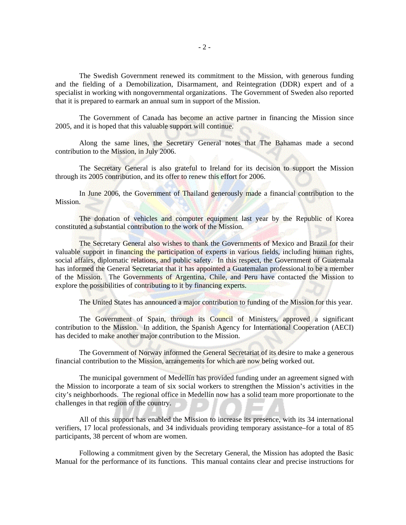The Swedish Government renewed its commitment to the Mission, with generous funding and the fielding of a Demobilization, Disarmament, and Reintegration (DDR) expert and of a specialist in working with nongovernmental organizations. The Government of Sweden also reported that it is prepared to earmark an annual sum in support of the Mission.

 The Government of Canada has become an active partner in financing the Mission since 2005, and it is hoped that this valuable support will continue.

 Along the same lines, the Secretary General notes that The Bahamas made a second contribution to the Mission, in July 2006.

 The Secretary General is also grateful to Ireland for its decision to support the Mission through its 2005 contribution, and its offer to renew this effort for 2006.

In June 2006, the Government of Thailand generously made a financial contribution to the Mission.

 The donation of vehicles and computer equipment last year by the Republic of Korea constituted a substantial contribution to the work of the Mission.

 The Secretary General also wishes to thank the Governments of Mexico and Brazil for their valuable support in financing the participation of experts in various fields, including human rights, social affairs, diplomatic relations, and public safety. In this respect, the Government of Guatemala has informed the General Secretariat that it has appointed a Guatemalan professional to be a member of the Mission. The Governments of Argentina, Chile, and Peru have contacted the Mission to explore the possibilities of contributing to it by financing experts.

The United States has announced a major contribution to funding of the Mission for this year.

The Government of Spain, through its Council of Ministers, approved a significant contribution to the Mission. In addition, the Spanish Agency for International Cooperation (AECI) has decided to make another major contribution to the Mission.

 The Government of Norway informed the General Secretariat of its desire to make a generous financial contribution to the Mission, arrangements for which are now being worked out.

 The municipal government of Medellín has provided funding under an agreement signed with the Mission to incorporate a team of six social workers to strengthen the Mission's activities in the city's neighborhoods. The regional office in Medellín now has a solid team more proportionate to the challenges in that region of the country.

 All of this support has enabled the Mission to increase its presence, with its 34 international verifiers, 17 local professionals, and 34 individuals providing temporary assistance–for a total of 85 participants, 38 percent of whom are women.

 Following a commitment given by the Secretary General, the Mission has adopted the Basic Manual for the performance of its functions. This manual contains clear and precise instructions for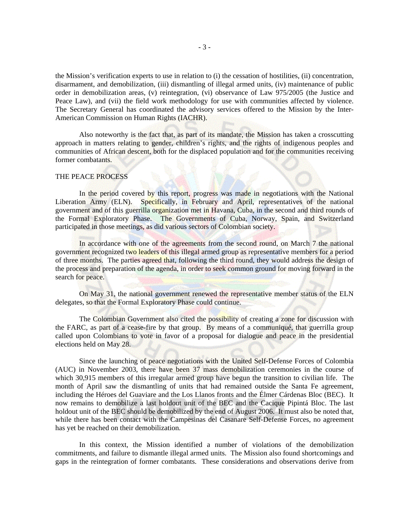the Mission's verification experts to use in relation to (i) the cessation of hostilities, (ii) concentration, disarmament, and demobilization, (iii) dismantling of illegal armed units, (iv) maintenance of public order in demobilization areas, (v) reintegration, (vi) observance of Law 975/2005 (the Justice and Peace Law), and (vii) the field work methodology for use with communities affected by violence. The Secretary General has coordinated the advisory services offered to the Mission by the Inter-American Commission on Human Rights (IACHR).

 Also noteworthy is the fact that, as part of its mandate, the Mission has taken a crosscutting approach in matters relating to gender, children's rights, and the rights of indigenous peoples and communities of African descent, both for the displaced population and for the communities receiving former combatants.

#### THE PEACE PROCESS

In the period covered by this report, progress was made in negotiations with the National Liberation Army (ELN). Specifically, in February and April, representatives of the national government and of this guerrilla organization met in Havana, Cuba, in the second and third rounds of the Formal Exploratory Phase. The Governments of Cuba, Norway, Spain, and Switzerland participated in those meetings, as did various sectors of Colombian society.

 In accordance with one of the agreements from the second round, on March 7 the national government recognized two leaders of this illegal armed group as representative members for a period of three months. The parties agreed that, following the third round, they would address the design of the process and preparation of the agenda, in order to seek common ground for moving forward in the search for peace.

 On May 31, the national government renewed the representative member status of the ELN delegates, so that the Formal Exploratory Phase could continue.

 The Colombian Government also cited the possibility of creating a zone for discussion with the FARC, as part of a cease-fire by that group. By means of a communiqué, that guerrilla group called upon Colombians to vote in favor of a proposal for dialogue and peace in the presidential elections held on May 28.

 Since the launching of peace negotiations with the United Self-Defense Forces of Colombia (AUC) in November 2003, there have been 37 mass demobilization ceremonies in the course of which 30,915 members of this irregular armed group have begun the transition to civilian life. The month of April saw the dismantling of units that had remained outside the Santa Fe agreement, including the Héroes del Guaviare and the Los Llanos fronts and the Élmer Cárdenas Bloc (BEC). It now remains to demobilize a last holdout unit of the BEC and the Cacique Pipintá Bloc. The last holdout unit of the BEC should be demobilized by the end of August 2006. It must also be noted that, while there has been contact with the Campesinas del Casanare Self-Defense Forces, no agreement has yet be reached on their demobilization.

 In this context, the Mission identified a number of violations of the demobilization commitments, and failure to dismantle illegal armed units. The Mission also found shortcomings and gaps in the reintegration of former combatants. These considerations and observations derive from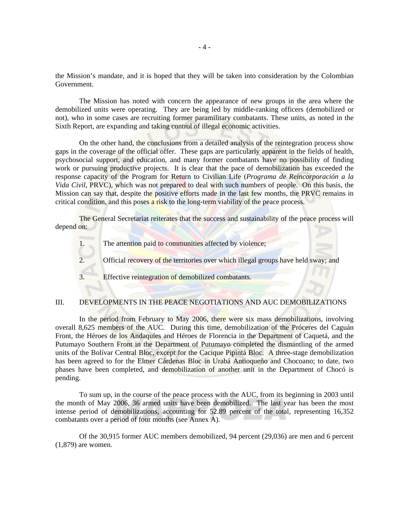the Mission's mandate, and it is hoped that they will be taken into consideration by the Colombian Government.

 The Mission has noted with concern the appearance of new groups in the area where the demobilized units were operating. They are being led by middle-ranking officers (demobilized or not), who in some cases are recruiting former paramilitary combatants. These units, as noted in the Sixth Report, are expanding and taking control of illegal economic activities.

 On the other hand, the conclusions from a detailed analysis of the reintegration process show gaps in the coverage of the official offer. These gaps are particularly apparent in the fields of health, psychosocial support, and education, and many former combatants have no possibility of finding work or pursuing productive projects. It is clear that the pace of demobilization has exceeded the response capacity of the Program for Return to Civilian Life (*Programa de Reincorporación a la Vida Civil*, PRVC), which was not prepared to deal with such numbers of people. On this basis, the Mission can say that, despite the positive efforts made in the last few months, the PRVC remains in critical condition, and this poses a risk to the long-term viability of the peace process.

 The General Secretariat reiterates that the success and sustainability of the peace process will depend on:

1. The attention paid to communities affected by violence;

2. Official recovery of the territories over which illegal groups have held sway; and

3. Effective reintegration of demobilized combatants.

## III. DEVELOPMENTS IN THE PEACE NEGOTIATIONS AND AUC DEMOBILIZATIONS

In the period from February to May 2006, there were six mass demobilizations, involving overall 8,625 members of the AUC. During this time, demobilization of the Próceres del Caguán Front, the Héroes de los Andaquíes and Héroes de Florencia in the Department of Caquetá, and the Putumayo Southern Front in the Department of Putumayo completed the dismantling of the armed units of the Bolívar Central Bloc, except for the Cacique Pipintá Bloc. A three-stage demobilization has been agreed to for the Elmer Cárdenas Bloc in Urabá Antioqueño and Chocoano; to date, two phases have been completed, and demobilization of another unit in the Department of Chocó is pending.

 To sum up, in the course of the peace process with the AUC, from its beginning in 2003 until the month of May 2006, 36 armed units have been demobilized. The last year has been the most intense period of demobilizations, accounting for 52.89 percent of the total, representing 16,352 combatants over a period of four months (see Annex A).

 Of the 30,915 former AUC members demobilized, 94 percent (29,036) are men and 6 percent (1,879) are women.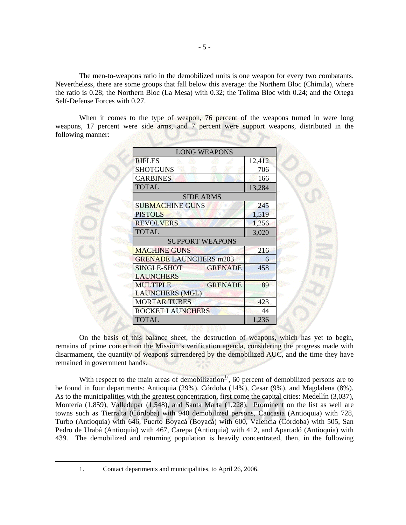The men-to-weapons ratio in the demobilized units is one weapon for every two combatants. Nevertheless, there are some groups that fall below this average: the Northern Bloc (Chimila), where the ratio is 0.28; the Northern Bloc (La Mesa) with 0.32; the Tolima Bloc with 0.24; and the Ortega Self-Defense Forces with 0.27.

 When it comes to the type of weapon, 76 percent of the weapons turned in were long weapons, 17 percent were side arms, and 7 percent were support weapons, distributed in the following manner:

| <b>LONG WEAPONS</b>                                         |        |  |
|-------------------------------------------------------------|--------|--|
| <b>RIFLES</b>                                               | 12,412 |  |
| <b>SHOTGUNS</b>                                             | 706    |  |
| <b>CARBINES</b>                                             | 166    |  |
| <b>TOTAL</b>                                                | 13,284 |  |
| <b>SIDE ARMS</b>                                            |        |  |
| <b>SUBMACHINE GUNS</b>                                      | 245    |  |
| <b>PISTOLS</b>                                              | 1,519  |  |
| <b>REVOLVERS</b>                                            | 1,256  |  |
| <b>TOTAL</b>                                                | 3,020  |  |
| <b>SUPPORT WEAPONS</b>                                      |        |  |
| <b>MACHINE GUNS</b>                                         | 216    |  |
| <b>GRENADE LAUNCHERS m203</b>                               | 6      |  |
| SINGLE-SHOT<br><b>GRENADE</b><br><b>LAUNCHERS</b>           | 458    |  |
| <b>MULTIPLE</b><br><b>GRENADE</b><br><b>LAUNCHERS (MGL)</b> | 89     |  |
| <b>MORTAR TUBES</b>                                         | 423    |  |
| <b>ROCKET LAUNCHERS</b>                                     | 44     |  |
| TOTAL                                                       | 1,236  |  |

 On the basis of this balance sheet, the destruction of weapons, which has yet to begin, remains of prime concern on the Mission's verification agenda, considering the progress made with disarmament, the quantity of weapons surrendered by the demobilized AUC, and the time they have remained in government hands.

With respect to the main areas of demobilization<sup>[1](#page-5-0)</sup>, 60 percent of demobilized persons are to be found in four departments: Antioquia (29%), Córdoba (14%), Cesar (9%), and Magdalena (8%). As to the municipalities with the greatest concentration, first come the capital cities: Medellín (3,037), Montería (1,859), Valledupar (1,548), and Santa Marta (1,228). Prominent on the list as well are towns such as Tierralta (Córdoba) with 940 demobilized persons, Caucasia (Antioquia) with 728, Turbo (Antioquia) with 646, Puerto Boyacá (Boyacá) with 600, Valencia (Córdoba) with 505, San Pedro de Urabá (Antioquia) with 467, Carepa (Antioquia) with 412, and Apartadó (Antioquia) with 439. The demobilized and returning population is heavily concentrated, then, in the following

<span id="page-5-0"></span> <sup>1.</sup> Contact departments and municipalities, to April 26, 2006.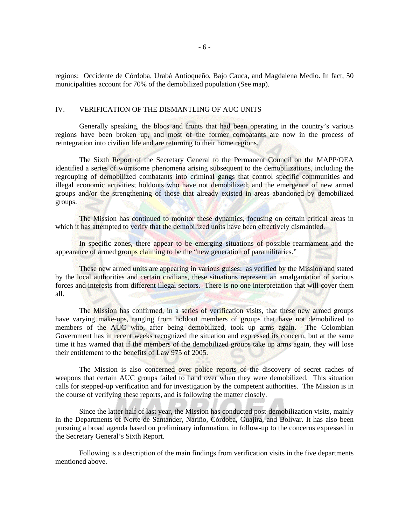regions: Occidente de Córdoba, Urabá Antioqueño, Bajo Cauca, and Magdalena Medio. In fact, 50 municipalities account for 70% of the demobilized population (See map).

# IV. VERIFICATION OF THE DISMANTLING OF AUC UNITS

 Generally speaking, the blocs and fronts that had been operating in the country's various regions have been broken up, and most of the former combatants are now in the process of reintegration into civilian life and are returning to their home regions.

 The Sixth Report of the Secretary General to the Permanent Council on the MAPP/OEA identified a series of worrisome phenomena arising subsequent to the demobilizations, including the regrouping of demobilized combatants into criminal gangs that control specific communities and illegal economic activities; holdouts who have not demobilized; and the emergence of new armed groups and/or the strengthening of those that already existed in areas abandoned by demobilized groups.

 The Mission has continued to monitor these dynamics, focusing on certain critical areas in which it has attempted to verify that the demobilized units have been effectively dismantled.

In specific zones, there appear to be emerging situations of possible rearmament and the appearance of armed groups claiming to be the "new generation of paramilitaries."

 These new armed units are appearing in various guises: as verified by the Mission and stated by the local authorities and certain civilians, these situations represent an amalgamation of various forces and interests from different illegal sectors. There is no one interpretation that will cover them all.

 The Mission has confirmed, in a series of verification visits, that these new armed groups have varying make-ups, ranging from holdout members of groups that have not demobilized to members of the AUC who, after being demobilized, took up arms again. The Colombian Government has in recent weeks recognized the situation and expressed its concern, but at the same time it has warned that if the members of the demobilized groups take up arms again, they will lose their entitlement to the benefits of Law 975 of 2005.

 The Mission is also concerned over police reports of the discovery of secret caches of weapons that certain AUC groups failed to hand over when they were demobilized. This situation calls for stepped-up verification and for investigation by the competent authorities. The Mission is in the course of verifying these reports, and is following the matter closely.

 Since the latter half of last year, the Mission has conducted post-demobilization visits, mainly in the Departments of Norte de Santander, Nariño, Córdoba, Guajira, and Bolívar. It has also been pursuing a broad agenda based on preliminary information, in follow-up to the concerns expressed in the Secretary General's Sixth Report.

 Following is a description of the main findings from verification visits in the five departments mentioned above.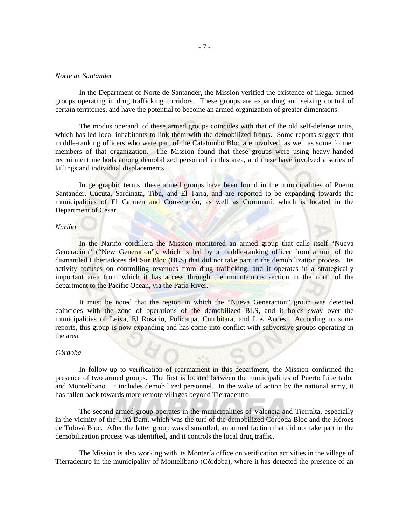# *Norte de Santander*

 In the Department of Norte de Santander, the Mission verified the existence of illegal armed groups operating in drug trafficking corridors. These groups are expanding and seizing control of certain territories, and have the potential to become an armed organization of greater dimensions.

 The modus operandi of these armed groups coincides with that of the old self-defense units, which has led local inhabitants to link them with the demobilized fronts. Some reports suggest that middle-ranking officers who were part of the Catatumbo Bloc are involved, as well as some former members of that organization. The Mission found that these groups were using heavy-handed recruitment methods among demobilized personnel in this area, and these have involved a series of killings and individual displacements.

In geographic terms, these armed groups have been found in the municipalities of Puerto Santander, Cúcuta, Sardinata, Tibú, and El Tarra, and are reported to be expanding towards the municipalities of El Carmen and Convención, as well as Curumaní, which is located in the Department of Cesar.

#### *Nariño*

 In the Nariño cordillera the Mission monitored an armed group that calls itself "Nueva Generación" ("New Generation"), which is led by a middle-ranking officer from a unit of the dismantled Libertadores del Sur Bloc (BLS) that did not take part in the demobilization process. Its activity focuses on controlling revenues from drug trafficking, and it operates in a strategically important area from which it has access through the mountainous section in the north of the department to the Pacific Ocean, via the Patía River.

 It must be noted that the region in which the "Nueva Generación" group was detected coincides with the zone of operations of the demobilized BLS, and it holds sway over the municipalities of Leiva, El Rosario, Policarpa, Cumbitara, and Los Andes. According to some reports, this group is now expanding and has come into conflict with subversive groups operating in the area.

#### *Córdoba*

 In follow-up to verification of rearmament in this department, the Mission confirmed the presence of two armed groups. The first is located between the municipalities of Puerto Libertador and Montelíbano. It includes demobilized personnel. In the wake of action by the national army, it has fallen back towards more remote villages beyond Tierradentro.

 The second armed group operates in the municipalities of Valencia and Tierralta, especially in the vicinity of the Urrá Dam, which was the turf of the demobilized Córboda Bloc and the Héroes de Tolová Bloc. After the latter group was dismantled, an armed faction that did not take part in the demobilization process was identified, and it controls the local drug traffic.

 The Mission is also working with its Montería office on verification activities in the village of Tierradentro in the municipality of Montelíbano (Córdoba), where it has detected the presence of an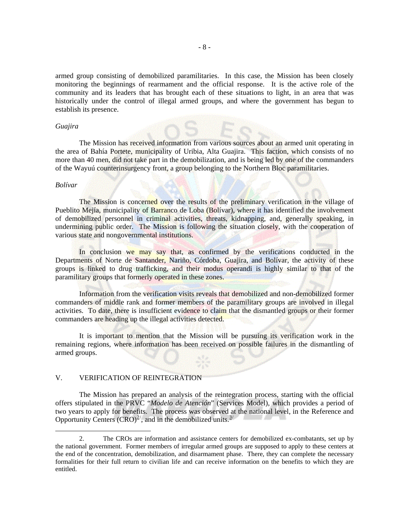armed group consisting of demobilized paramilitaries. In this case, the Mission has been closely monitoring the beginnings of rearmament and the official response. It is the active role of the community and its leaders that has brought each of these situations to light, in an area that was historically under the control of illegal armed groups, and where the government has begun to establish its presence.

#### *Guajira*

 The Mission has received information from various sources about an armed unit operating in the area of Bahía Portete, municipality of Uribia, Alta Guajira. This faction, which consists of no more than 40 men, did not take part in the demobilization, and is being led by one of the commanders of the Wayuú counterinsurgency front, a group belonging to the Northern Bloc paramilitaries.

#### *Bolívar*

The Mission is concerned over the results of the preliminary verification in the village of Pueblito Mejía, municipality of Barranco de Loba (Bolívar), where it has identified the involvement of demobilized personnel in criminal activities, threats, kidnapping, and, generally speaking, in undermining public order. The Mission is following the situation closely, with the cooperation of various state and nongovernmental institutions.

In conclusion we may say that, as confirmed by the verifications conducted in the Departments of Norte de Santander, Nariño, Córdoba, Guajira, and Bolívar, the activity of these groups is linked to drug trafficking, and their modus operandi is highly similar to that of the paramilitary groups that formerly operated in these zones.

Information from the verification visits reveals that demobilized and non-demobilized former commanders of middle rank and former members of the paramilitary groups are involved in illegal activities. To date, there is insufficient evidence to claim that the dismantled groups or their former commanders are heading up the illegal activities detected.

 It is important to mention that the Mission will be pursuing its verification work in the remaining regions, where information has been received on possible failures in the dismantling of armed groups.

# V. VERIFICATION OF REINTEGRATION

<span id="page-8-1"></span> The Mission has prepared an analysis of the reintegration process, starting with the official offers stipulated in the PRVC "*Modelo de Atención*" (Services Model), which provides a period of two years to apply for benefits. The process was observed at the national level, in the Reference and Opportunity Centers  $(CRO)^{2/2}$  $(CRO)^{2/2}$  $(CRO)^{2/2}$ , and in the demobilized units.<sup>[3](#page-8-1)/</sup>

<span id="page-8-0"></span> <sup>2.</sup> The CROs are information and assistance centers for demobilized ex-combatants, set up by the national government. Former members of irregular armed groups are supposed to apply to these centers at the end of the concentration, demobilization, and disarmament phase. There, they can complete the necessary formalities for their full return to civilian life and can receive information on the benefits to which they are entitled.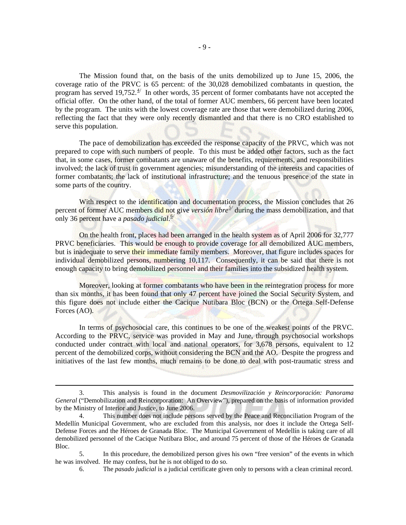The Mission found that, on the basis of the units demobilized up to June 15, 2006, the coverage ratio of the PRVC is 65 percent: of the 30,028 demobilized combatants in question, the program has served 19,752. $4/$  $4/$  In other words, 35 percent of former combatants have not accepted the official offer. On the other hand, of the total of former AUC members, 66 percent have been located by the program. The units with the lowest coverage rate are those that were demobilized during 2006, reflecting the fact that they were only recently dismantled and that there is no CRO established to serve this population.

 The pace of demobilization has exceeded the response capacity of the PRVC, which was not prepared to cope with such numbers of people. To this must be added other factors, such as the fact that, in some cases, former combatants are unaware of the benefits, requirements, and responsibilities involved; the lack of trust in government agencies; misunderstanding of the interests and capacities of former combatants; the lack of institutional infrastructure; and the tenuous presence of the state in some parts of the country.

With respect to the identification and documentation process, the Mission concludes that 26 percent of former AUC members did not give *versión libre[5](#page-9-1)/* during the mass demobilization, and that only 36 percent have a *pasado judicial*. [6](#page-9-2)/

 On the health front, places had been arranged in the health system as of April 2006 for 32,777 PRVC beneficiaries. This would be enough to provide coverage for all demobilized AUC members, but is inadequate to serve their immediate family members. Moreover, that figure includes spaces for individual demobilized persons, numbering 10,117. Consequently, it can be said that there is not enough capacity to bring demobilized personnel and their families into the subsidized health system.

 Moreover, looking at former combatants who have been in the reintegration process for more than six months, it has been found that only 47 percent have joined the Social Security System, and this figure does not include either the Cacique Nutibara Bloc (BCN) or the Ortega Self-Defense Forces (AO).

 In terms of psychosocial care, this continues to be one of the weakest points of the PRVC. According to the PRVC, service was provided in May and June, through psychosocial workshops conducted under contract with local and national operators, for 3,678 persons, equivalent to 12 percent of the demobilized corps, without considering the BCN and the AO. Despite the progress and initiatives of the last few months, much remains to be done to deal with post-traumatic stress and

 <sup>3.</sup> This analysis is found in the document *Desmovilización y Reincorporación: Panorama General* ("Demobilization and Reincorporation: An Overview"), prepared on the basis of information provided by the Ministry of Interior and Justice, to June 2006.

<span id="page-9-0"></span><sup>4.</sup> This number does not include persons served by the Peace and Reconciliation Program of the Medellín Municipal Government, who are excluded from this analysis, nor does it include the Ortega Self-Defense Forces and the Héroes de Granada Bloc. The Municipal Government of Medellín is taking care of all demobilized personnel of the Cacique Nutibara Bloc, and around 75 percent of those of the Héroes de Granada Bloc.

<span id="page-9-2"></span><span id="page-9-1"></span><sup>5.</sup> In this procedure, the demobilized person gives his own "free version" of the events in which he was involved. He may confess, but he is not obliged to do so.

<sup>6.</sup> The *pasado judicial* is a judicial certificate given only to persons with a clean criminal record.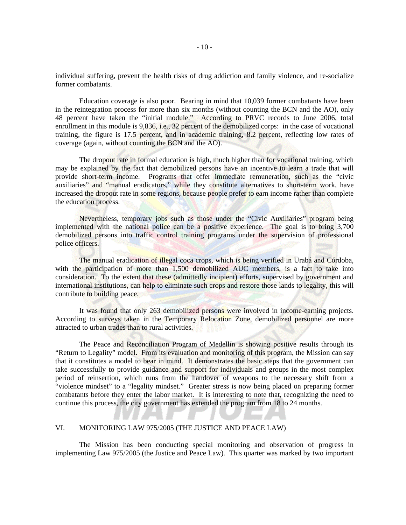individual suffering, prevent the health risks of drug addiction and family violence, and re-socialize former combatants.

 Education coverage is also poor. Bearing in mind that 10,039 former combatants have been in the reintegration process for more than six months (without counting the BCN and the AO), only 48 percent have taken the "initial module." According to PRVC records to June 2006, total enrollment in this module is 9,836, i.e., 32 percent of the demobilized corps: in the case of vocational training, the figure is 17.5 percent, and in academic training, 8.2 percent, reflecting low rates of coverage (again, without counting the BCN and the AO).

 The dropout rate in formal education is high, much higher than for vocational training, which may be explained by the fact that demobilized persons have an incentive to learn a trade that will provide short-term income. Programs that offer immediate remuneration, such as the "civic auxiliaries" and "manual eradicators," while they constitute alternatives to short-term work, have increased the dropout rate in some regions, because people prefer to earn income rather than complete the education process.

 Nevertheless, temporary jobs such as those under the "Civic Auxiliaries" program being implemented with the national police can be a positive experience. The goal is to bring 3,700 demobilized persons into traffic control training programs under the supervision of professional police officers.

 The manual eradication of illegal coca crops, which is being verified in Urabá and Córdoba, with the participation of more than 1,500 demobilized AUC members, is a fact to take into consideration. To the extent that these (admittedly incipient) efforts, supervised by government and international institutions, can help to eliminate such crops and restore those lands to legality, this will contribute to building peace.

 It was found that only 263 demobilized persons were involved in income-earning projects. According to surveys taken in the Temporary Relocation Zone, demobilized personnel are more attracted to urban trades than to rural activities.

 The Peace and Reconciliation Program of Medellín is showing positive results through its "Return to Legality" model. From its evaluation and monitoring of this program, the Mission can say that it constitutes a model to bear in mind. It demonstrates the basic steps that the government can take successfully to provide guidance and support for individuals and groups in the most complex period of reinsertion, which runs from the handover of weapons to the necessary shift from a "violence mindset" to a "legality mindset." Greater stress is now being placed on preparing former combatants before they enter the labor market. It is interesting to note that, recognizing the need to continue this process, the city government has extended the program from 18 to 24 months.

#### VI. MONITORING LAW 975/2005 (THE JUSTICE AND PEACE LAW)

 The Mission has been conducting special monitoring and observation of progress in implementing Law 975/2005 (the Justice and Peace Law). This quarter was marked by two important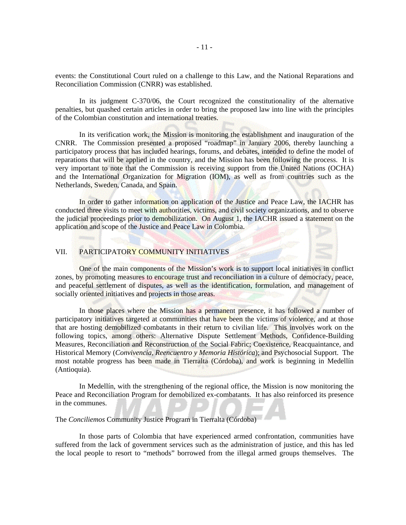events: the Constitutional Court ruled on a challenge to this Law, and the National Reparations and Reconciliation Commission (CNRR) was established.

 In its judgment C-370/06, the Court recognized the constitutionality of the alternative penalties, but quashed certain articles in order to bring the proposed law into line with the principles of the Colombian constitution and international treaties.

 In its verification work, the Mission is monitoring the establishment and inauguration of the CNRR. The Commission presented a proposed "roadmap" in January 2006, thereby launching a participatory process that has included hearings, forums, and debates, intended to define the model of reparations that will be applied in the country, and the Mission has been following the process. It is very important to note that the Commission is receiving support from the United Nations (OCHA) and the International Organization for Migration (IOM), as well as from countries such as the Netherlands, Sweden, Canada, and Spain.

 In order to gather information on application of the Justice and Peace Law, the IACHR has conducted three visits to meet with **authorities**, victims, and civil society organizations, and to observe the judicial proceedings prior to demobilization. On August 1, the IACHR issued a statement on the application and scope of the Justice and Peace Law in Colombia.

# VII. PARTICIPATORY COMMUNITY INITIATIVES

 One of the main components of the Mission's work is to support local initiatives in conflict zones, by promoting measures to encourage trust and reconciliation in a culture of democracy, peace, and peaceful settlement of disputes, as well as the identification, formulation, and management of socially oriented initiatives and projects in those areas.

In those places where the Mission has a permanent presence, it has followed a number of participatory initiatives targeted at communities that have been the victims of violence, and at those that are hosting demobilized combatants in their return to civilian life. This involves work on the following topics, among others: Alternative Dispute Settlement Methods, Confidence-Building Measures, Reconciliation and Reconstruction of the Social Fabric; Coexistence, Reacquaintance, and Historical Memory (*Convivencia, Reencuentro y Memoria Histórica*); and Psychosocial Support. The most notable progress has been made in Tierralta (Córdoba), and work is beginning in Medellín (Antioquia).

 In Medellín, with the strengthening of the regional office, the Mission is now monitoring the Peace and Reconciliation Program for demobilized ex-combatants. It has also reinforced its presence in the communes.

The *Conciliemos* Community Justice Program in Tierralta (Córdoba)

 In those parts of Colombia that have experienced armed confrontation, communities have suffered from the lack of government services such as the administration of justice, and this has led the local people to resort to "methods" borrowed from the illegal armed groups themselves. The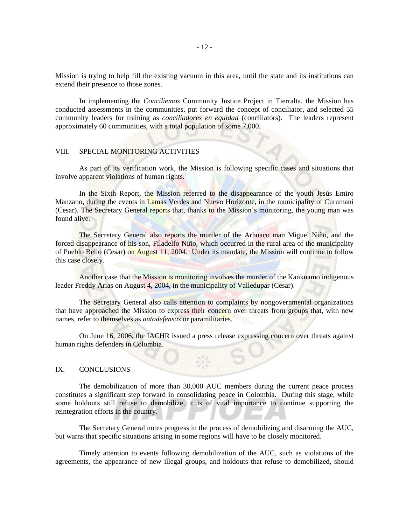Mission is trying to help fill the existing vacuum in this area, until the state and its institutions can extend their presence to those zones.

 In implementing the *Conciliemos* Community Justice Project in Tierralta, the Mission has conducted assessments in the communities, put forward the concept of conciliator, and selected 55 community leaders for training as *conciliadores en equidad* (conciliators). The leaders represent approximately 60 communities, with a total population of some 7,000.

# VIII. SPECIAL MONITORING ACTIVITIES

 As part of its verification work, the Mission is following specific cases and situations that involve apparent violations of human rights.

In the Sixth Report, the Mission referred to the disappearance of the youth Jesús Emiro Manzano, during the events in Lamas Verdes and Nuevo Horizonte, in the municipality of Curumaní (Cesar). The Secretary General reports that, thanks to the Mission's monitoring, the young man was found alive.

 The Secretary General also reports the murder of the Arhuaco man Miguel Niño, and the forced disappearance of his son, Filadelfo Niño, which occurred in the rural area of the municipality of Pueblo Bello (Cesar) on August 11, 2004. Under its mandate, the Mission will continue to follow this case closely.

 Another case that the Mission is monitoring involves the murder of the Kankuamo indigenous leader Freddy Arias on August 4, 2004, in the municipality of Valledupar (Cesar).

 The Secretary General also calls attention to complaints by nongovernmental organizations that have approached the Mission to express their concern over threats from groups that, with new names, refer to themselves as *autodefensas* or paramilitaries.

 On June 16, 2006, the IACHR issued a press release expressing concern over threats against human rights defenders in Colombia.

# IX. CONCLUSIONS

 The demobilization of more than 30,000 AUC members during the current peace process constitutes a significant step forward in consolidating peace in Colombia. During this stage, while some holdouts still refuse to demobilize, it is of vital importance to continue supporting the reintegration efforts in the country.

 The Secretary General notes progress in the process of demobilizing and disarming the AUC, but warns that specific situations arising in some regions will have to be closely monitored.

 Timely attention to events following demobilization of the AUC, such as violations of the agreements, the appearance of new illegal groups, and holdouts that refuse to demobilized, should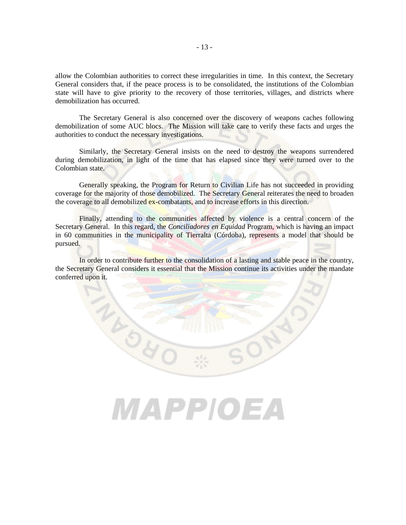allow the Colombian authorities to correct these irregularities in time. In this context, the Secretary General considers that, if the peace process is to be consolidated, the institutions of the Colombian state will have to give priority to the recovery of those territories, villages, and districts where demobilization has occurred.

 The Secretary General is also concerned over the discovery of weapons caches following demobilization of some AUC blocs. The Mission will take care to verify these facts and urges the authorities to conduct the necessary investigations.

 Similarly, the Secretary General insists on the need to destroy the weapons surrendered during demobilization, in light of the time that has elapsed since they were turned over to the Colombian state.

 Generally speaking, the Program for Return to Civilian Life has not succeeded in providing coverage for the majority of those demobilized. The Secretary General reiterates the need to broaden the coverage to all demobilized ex-combatants, and to increase efforts in this direction.

 Finally, attending to the communities affected by violence is a central concern of the Secretary General. In this regard, the *Conciliadores en Equidad* Program, which is having an impact in 60 communities in the municipality of Tierralta (Córdoba), represents a model that should be pursued.

 In order to contribute further to the consolidation of a lasting and stable peace in the country, the Secretary General considers it essential that the Mission continue its activities under the mandate conferred upon it.

# MAPPIOEA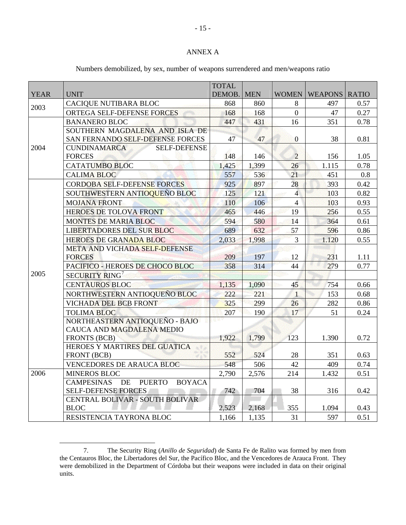# ANNEX A

|             |                                                           | <b>TOTAL</b> |            |                |                      |      |
|-------------|-----------------------------------------------------------|--------------|------------|----------------|----------------------|------|
| <b>YEAR</b> | <b>UNIT</b>                                               | DEMOB.       | <b>MEN</b> | <b>WOMEN</b>   | <b>WEAPONS RATIO</b> |      |
| 2003        | CACIQUE NUTIBARA BLOC                                     | 868          | 860        | 8              | 497                  | 0.57 |
|             | ORTEGA SELF-DEFENSE FORCES                                | 168          | 168        | $\overline{0}$ | 47                   | 0.27 |
| 2004        | <b>BANANERO BLOC</b>                                      | 447          | 431        | 16             | 351                  | 0.78 |
|             | SOUTHERN MAGDALENA AND ISLA DE                            |              |            |                |                      |      |
|             | SAN FERNANDO SELF-DEFENSE FORCES                          | 47           | 47         | $\mathbf{0}$   | 38                   | 0.81 |
|             | <b>CUNDINAMARCA</b><br><b>SELF-DEFENSE</b>                |              |            |                |                      |      |
|             | <b>FORCES</b>                                             | 148          | 146        | $\overline{2}$ | 156                  | 1.05 |
|             | <b>CATATUMBO BLOC</b>                                     | 1,425        | 1,399      | 26             | 1.115                | 0.78 |
|             | <b>CALIMA BLOC</b>                                        | 557          | 536        | 21             | 451                  | 0.8  |
| 2005        | CORDOBA SELF-DEFENSE FORCES                               | 925          | 897        | 28             | 393                  | 0.42 |
|             | SOUTHWESTERN ANTIOQUEÑO BLOC                              | 125          | 121        | $\overline{4}$ | 103                  | 0.82 |
|             | <b>MOJANA FRONT</b>                                       | 110          | 106        | $\overline{4}$ | 103                  | 0.93 |
|             | <b>HEROES DE TOLOVA FRONT</b>                             | 465          | 446        | 19             | 256                  | 0.55 |
|             | <b>MONTES DE MARIA BLOC</b>                               | 594          | 580        | 14             | 364                  | 0.61 |
|             | <b>LIBERTADORES DEL SUR BLOC</b>                          | 689          | 632        | 57             | 596                  | 0.86 |
|             | <b>HEROES DE GRANADA BLOC</b>                             | 2,033        | 1,998      | 3              | 1.120                | 0.55 |
|             | META AND VICHADA SELF-DEFENSE                             |              |            |                |                      |      |
|             | <b>FORCES</b>                                             | 209          | 197        | 12             | 231                  | 1.11 |
|             | PACIFICO - HEROES DE CHOCO BLOC                           | 358          | 314        | 44             | 279                  | 0.77 |
|             | SECURITY RING <sup>7</sup>                                |              |            |                |                      |      |
|             | <b>CENTAUROS BLOC</b>                                     | 1,135        | 1,090      | 45             | 754                  | 0.66 |
|             | NORTHWESTERN ANTIOQUEÑO BLOC                              | 222          | 221        | $\overline{1}$ | 153                  | 0.68 |
|             | <b>VICHADA DEL BCB FRONT</b>                              | 325          | 299        | 26             | 282                  | 0.86 |
|             | <b>TOLIMA BLOC</b>                                        | 207          | 190        | 17             | 51                   | 0.24 |
|             | NORTHEASTERN ANTIOQUEÑO - BAJO                            |              |            |                |                      |      |
|             | CAUCA AND MAGDALENA MEDIO                                 |              |            |                |                      |      |
|             | <b>FRONTS (BCB)</b>                                       | 1,922        | 1,799      | 123            | 1.390                | 0.72 |
|             | HEROES Y MARTIRES DEL GUATICA                             |              |            |                |                      |      |
|             | FRONT (BCB)                                               | 552          | 524        | 28             | 351                  | 0.63 |
|             | <b>VENCEDORES DE ARAUCA BLOC</b>                          | 548          | 506        | 42             | 409                  | 0.74 |
| 2006        | <b>MINEROS BLOC</b>                                       | 2,790        | 2,576      | 214            | 1.432                | 0.51 |
|             | <b>CAMPESINAS</b><br>DE<br><b>PUERTO</b><br><b>BOYACA</b> |              |            |                |                      |      |
|             | <b>SELF-DEFENSE FORCES</b>                                | 742          | 704        | 38             | 316                  | 0.42 |
|             | CENTRAL BOLIVAR - SOUTH BOLIVAR<br><b>BLOC</b>            | 2,523        | 2,168      | 355            | 1.094                | 0.43 |
|             | RESISTENCIA TAYRONA BLOC                                  | 1,166        | 1,135      | 31             | 597                  | 0.51 |
|             |                                                           |              |            |                |                      |      |

# Numbers demobilized, by sex, number of weapons surrendered and men/weapons ratio

<span id="page-15-0"></span> <sup>7.</sup> The Security Ring (*Anillo de Seguridad*) de Santa Fe de Ralito was formed by men from the Centauros Bloc, the Libertadores del Sur, the Pacífico Bloc, and the Vencedores de Arauca Front. They were demobilized in the Department of Córdoba but their weapons were included in data on their original units.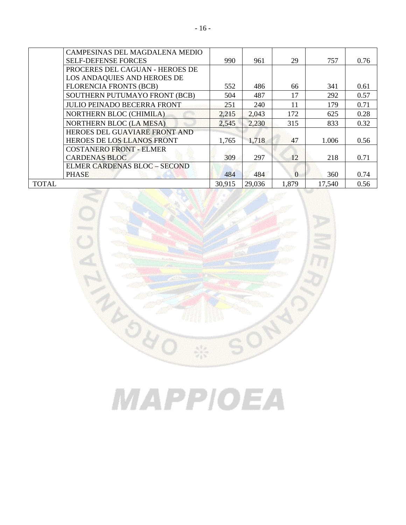|              | CAMPESINAS DEL MAGDALENA MEDIO      |        |        |          |        |      |
|--------------|-------------------------------------|--------|--------|----------|--------|------|
|              | <b>SELF-DEFENSE FORCES</b>          | 990    | 961    | 29       | 757    | 0.76 |
|              | PROCERES DEL CAGUAN - HEROES DE     |        |        |          |        |      |
|              | LOS ANDAQUIES AND HEROES DE         |        |        |          |        |      |
|              | <b>FLORENCIA FRONTS (BCB)</b>       | 552    | 486    | 66       | 341    | 0.61 |
|              | SOUTHERN PUTUMAYO FRONT (BCB)       | 504    | 487    | 17       | 292    | 0.57 |
|              | <b>JULIO PEINADO BECERRA FRONT</b>  | 251    | 240    | 11       | 179    | 0.71 |
|              | <b>NORTHERN BLOC (CHIMILA)</b>      | 2,215  | 2,043  | 172      | 625    | 0.28 |
|              | <b>NORTHERN BLOC (LA MESA)</b>      | 2,545  | 2,230  | 315      | 833    | 0.32 |
|              | HEROES DEL GUAVIARE FRONT AND       |        |        |          |        |      |
|              | HEROES DE LOS LLANOS FRONT          | 1,765  | 1,718  | 47       | 1.006  | 0.56 |
|              | <b>COSTANERO FRONT - ELMER</b>      |        |        |          |        |      |
|              | <b>CARDENAS BLOC</b>                | 309    | 297    | 12       | 218    | 0.71 |
|              | <b>ELMER CARDENAS BLOC - SECOND</b> |        |        |          |        |      |
|              | <b>PHASE</b>                        | 484    | 484    | $\Omega$ | 360    | 0.74 |
| <b>TOTAL</b> |                                     | 30,915 | 29,036 | 1,879    | 17,540 | 0.56 |



# MAPPIOEA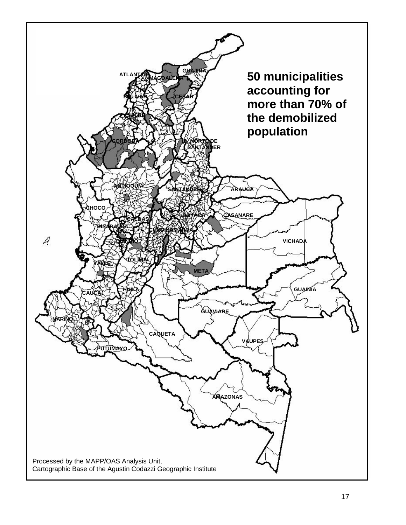